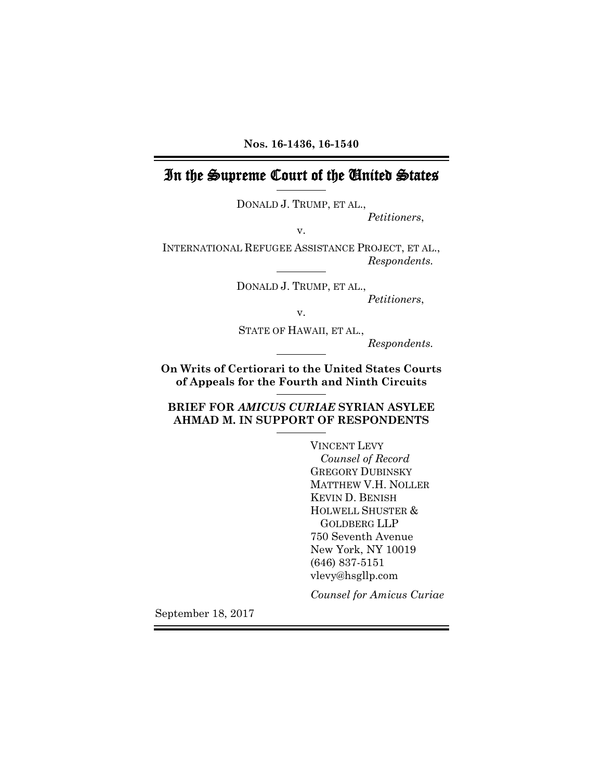**Nos. 16-1436, 16-1540**

# In the Supreme Court of the United States

DONALD J. TRUMP, ET AL., *Petitioners*,

INTERNATIONAL REFUGEE ASSISTANCE PROJECT, ET AL., *Respondents.*

v.

DONALD J. TRUMP, ET AL., *Petitioners*,

v.

STATE OF HAWAII, ET AL.,

*Respondents.*

**On Writs of Certiorari to the United States Courts of Appeals for the Fourth and Ninth Circuits**

**BRIEF FOR** *AMICUS CURIAE* **SYRIAN ASYLEE AHMAD M. IN SUPPORT OF RESPONDENTS**

> VINCENT LEVY *Counsel of Record* GREGORY DUBINSKY MATTHEW V.H. NOLLER KEVIN D. BENISH HOLWELL SHUSTER & GOLDBERG LLP 750 Seventh Avenue New York, NY 10019 (646) 837-5151 vlevy@hsgllp.com

*Counsel for Amicus Curiae*

September 18, 2017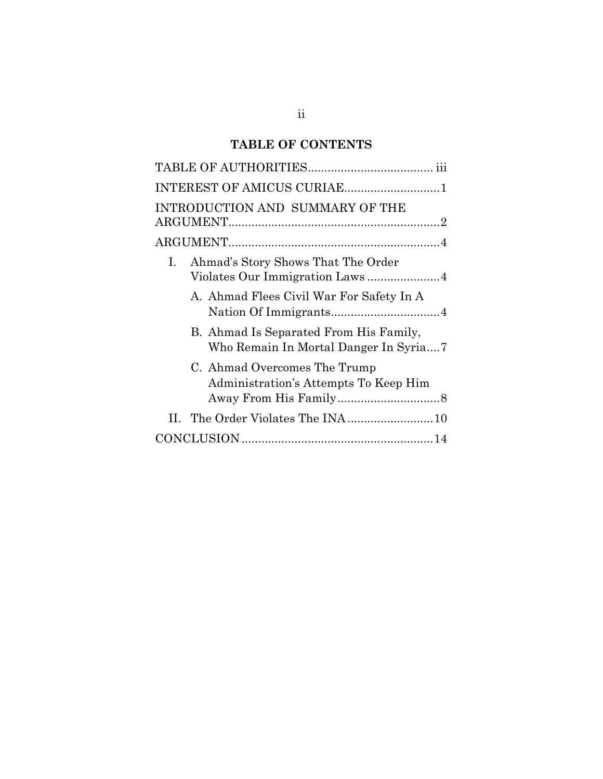# **TABLE OF CONTENTS**

| INTEREST OF AMICUS CURIAE1                                                          |
|-------------------------------------------------------------------------------------|
| INTRODUCTION AND SUMMARY OF THE                                                     |
|                                                                                     |
| Ahmad's Story Shows That The Order<br>$I_{\cdot}$<br>Violates Our Immigration Laws4 |
| A. Ahmad Flees Civil War For Safety In A                                            |
| B. Ahmad Is Separated From His Family,<br>Who Remain In Mortal Danger In Syria7     |
| C. Ahmad Overcomes The Trump<br>Administration's Attempts To Keep Him               |
|                                                                                     |
|                                                                                     |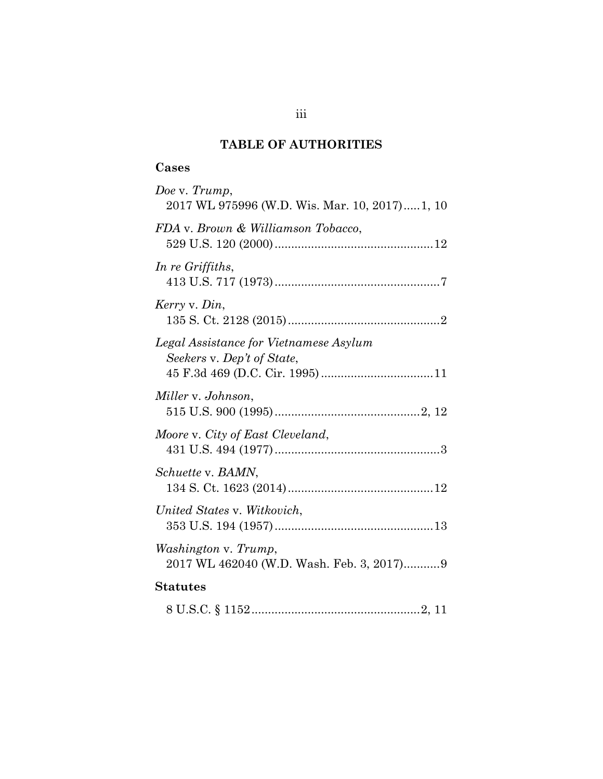# **TABLE OF AUTHORITIES**

## <span id="page-2-0"></span>**Cases**

| Doe v. Trump,<br>2017 WL 975996 (W.D. Wis. Mar. 10, 2017)1, 10       |
|----------------------------------------------------------------------|
| FDA v. Brown & Williamson Tobacco,                                   |
| In re Griffiths,                                                     |
| Kerry v. Din,                                                        |
| Legal Assistance for Vietnamese Asylum<br>Seekers v. Dep't of State, |
| Miller v. Johnson,                                                   |
| Moore v. City of East Cleveland,                                     |
| Schuette v. BAMN,                                                    |
| United States v. Witkovich,                                          |
| Washington v. Trump,<br>2017 WL 462040 (W.D. Wash. Feb. 3, 2017)9    |
| <b>Statutes</b>                                                      |
|                                                                      |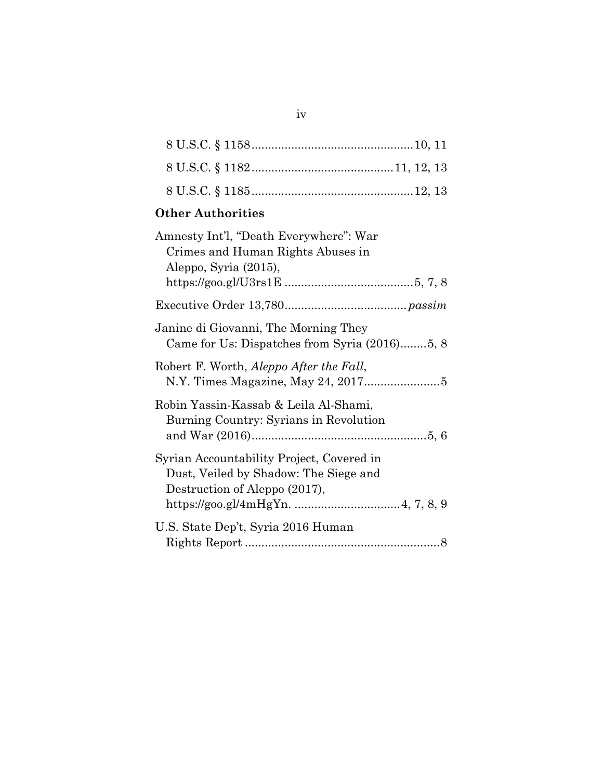# **Other Authorities**

| Amnesty Int'l, "Death Everywhere": War                                                                              |
|---------------------------------------------------------------------------------------------------------------------|
| Crimes and Human Rights Abuses in<br>Aleppo, Syria (2015),                                                          |
|                                                                                                                     |
|                                                                                                                     |
| Janine di Giovanni, The Morning They<br>Came for Us: Dispatches from Syria (2016)5, 8                               |
| Robert F. Worth, Aleppo After the Fall,                                                                             |
| Robin Yassin-Kassab & Leila Al-Shami,<br>Burning Country: Syrians in Revolution                                     |
| Syrian Accountability Project, Covered in<br>Dust, Veiled by Shadow: The Siege and<br>Destruction of Aleppo (2017), |
| U.S. State Dep't, Syria 2016 Human                                                                                  |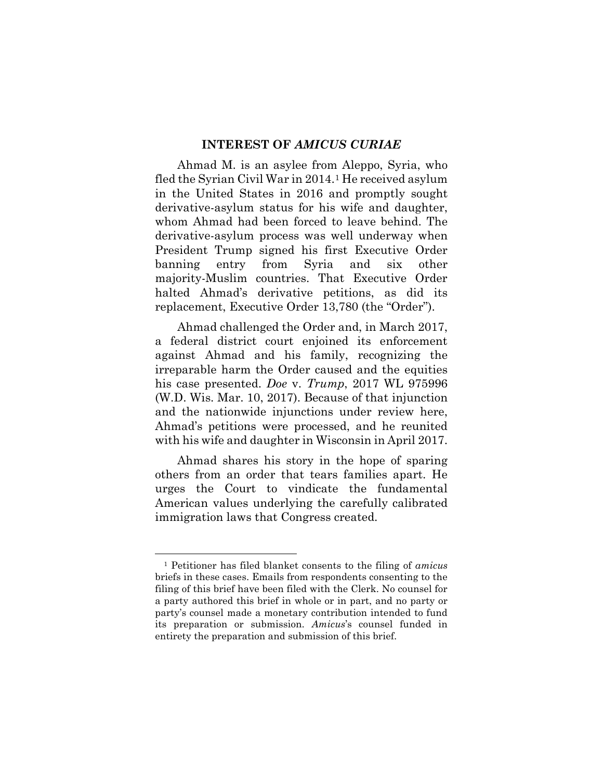#### **INTEREST OF** *AMICUS CURIAE*

<span id="page-4-0"></span>Ahmad M. is an asylee from Aleppo, Syria, who fled the Syrian Civil War in 2014.[1](#page-4-1) He received asylum in the United States in 2016 and promptly sought derivative-asylum status for his wife and daughter, whom Ahmad had been forced to leave behind. The derivative-asylum process was well underway when President Trump signed his first Executive Order banning entry from Syria and six other majority-Muslim countries. That Executive Order halted Ahmad's derivative petitions, as did its replacement, Executive Order 13,780 (the "Order").

Ahmad challenged the Order and, in March 2017, a federal district court enjoined its enforcement against Ahmad and his family, recognizing the irreparable harm the Order caused and the equities his case presented. *Doe* v. *Trump*, 2017 WL 975996 (W.D. Wis. Mar. 10, 2017). Because of that injunction and the nationwide injunctions under review here, Ahmad's petitions were processed, and he reunited with his wife and daughter in Wisconsin in April 2017.

Ahmad shares his story in the hope of sparing others from an order that tears families apart. He urges the Court to vindicate the fundamental American values underlying the carefully calibrated immigration laws that Congress created.

 $\overline{\phantom{a}}$ 

<span id="page-4-1"></span><sup>1</sup> Petitioner has filed blanket consents to the filing of *amicus*  briefs in these cases. Emails from respondents consenting to the filing of this brief have been filed with the Clerk. No counsel for a party authored this brief in whole or in part, and no party or party's counsel made a monetary contribution intended to fund its preparation or submission. *Amicus*'s counsel funded in entirety the preparation and submission of this brief.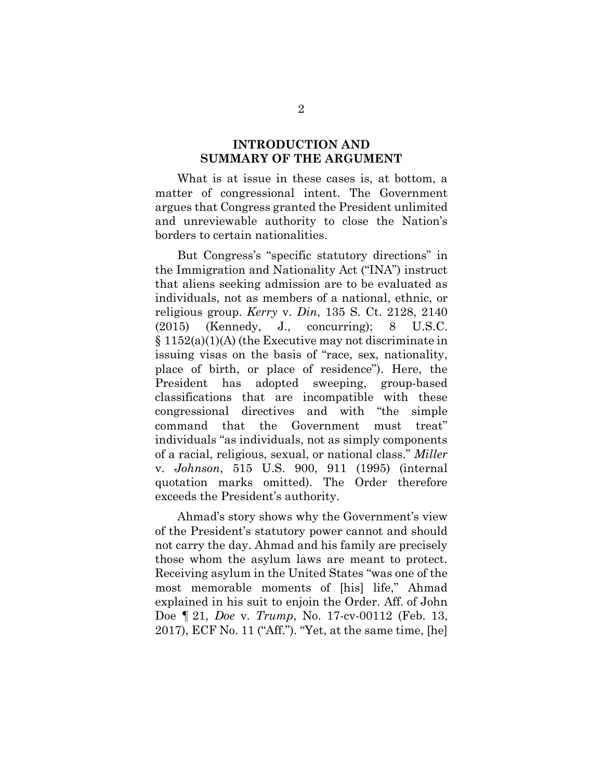### **INTRODUCTION AND SUMMARY OF THE ARGUMENT**

<span id="page-5-0"></span>What is at issue in these cases is, at bottom, a matter of congressional intent. The Government argues that Congress granted the President unlimited and unreviewable authority to close the Nation's borders to certain nationalities.

But Congress's "specific statutory directions" in the Immigration and Nationality Act ("INA") instruct that aliens seeking admission are to be evaluated as individuals, not as members of a national, ethnic, or religious group. *Kerry* v. *Din*, 135 S. Ct. 2128, 2140 (2015) (Kennedy, J., concurring); 8 U.S.C. § 1152(a)(1)(A) (the Executive may not discriminate in issuing visas on the basis of "race, sex, nationality, place of birth, or place of residence"). Here, the President has adopted sweeping, group-based classifications that are incompatible with these congressional directives and with "the simple command that the Government must treat" individuals "as individuals, not as simply components of a racial, religious, sexual, or national class." *Miller*  v. *Johnson*, 515 U.S. 900, 911 (1995) (internal quotation marks omitted). The Order therefore exceeds the President's authority.

Ahmad's story shows why the Government's view of the President's statutory power cannot and should not carry the day. Ahmad and his family are precisely those whom the asylum laws are meant to protect. Receiving asylum in the United States "was one of the most memorable moments of [his] life," Ahmad explained in his suit to enjoin the Order. Aff. of John Doe ¶ 21, *Doe* v. *Trump*, No. 17-cv-00112 (Feb. 13, 2017), ECF No. 11 ("Aff."). "Yet, at the same time, [he]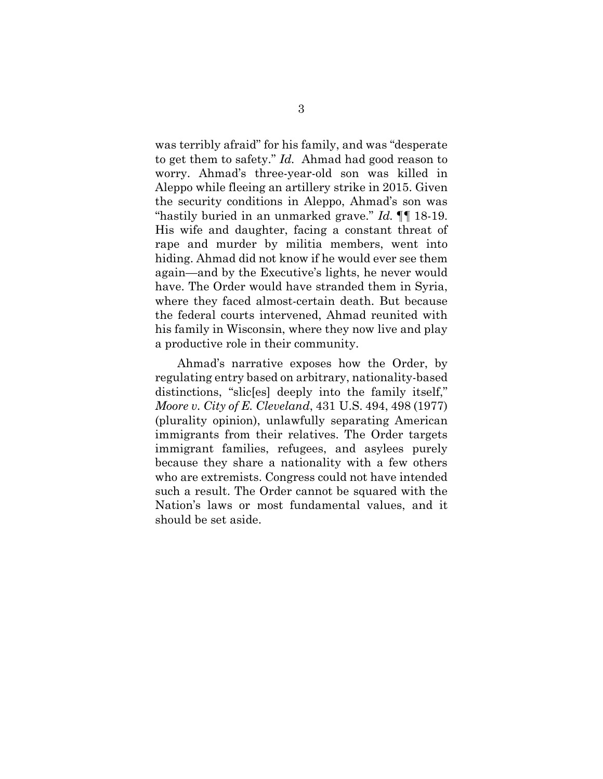was terribly afraid" for his family, and was "desperate to get them to safety." *Id.* Ahmad had good reason to worry. Ahmad's three-year-old son was killed in Aleppo while fleeing an artillery strike in 2015. Given the security conditions in Aleppo, Ahmad's son was "hastily buried in an unmarked grave." *Id.* ¶¶ 18-19. His wife and daughter, facing a constant threat of rape and murder by militia members, went into hiding. Ahmad did not know if he would ever see them again—and by the Executive's lights, he never would have. The Order would have stranded them in Syria, where they faced almost-certain death. But because the federal courts intervened, Ahmad reunited with his family in Wisconsin, where they now live and play a productive role in their community.

Ahmad's narrative exposes how the Order, by regulating entry based on arbitrary, nationality-based distinctions, "slic[es] deeply into the family itself," *Moore v. City of E. Cleveland*, 431 U.S. 494, 498 (1977) (plurality opinion), unlawfully separating American immigrants from their relatives. The Order targets immigrant families, refugees, and asylees purely because they share a nationality with a few others who are extremists. Congress could not have intended such a result. The Order cannot be squared with the Nation's laws or most fundamental values, and it should be set aside.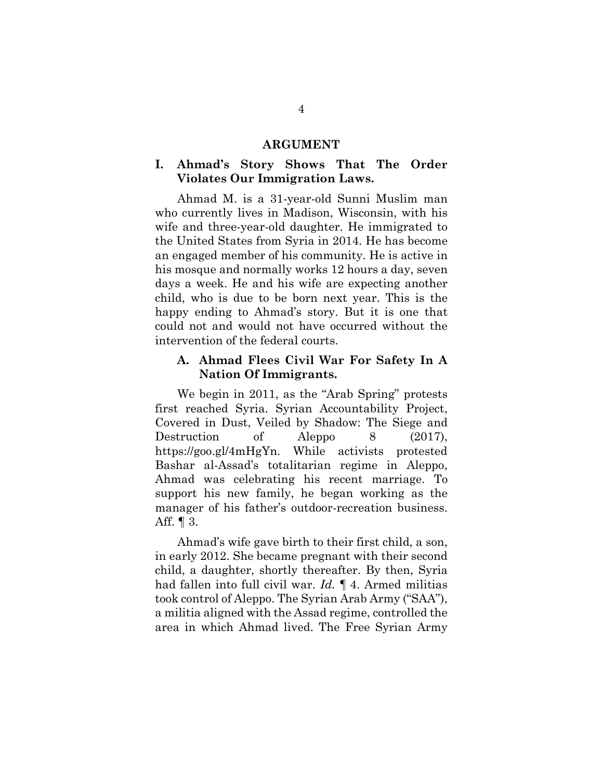#### **ARGUMENT**

## <span id="page-7-1"></span><span id="page-7-0"></span>**I. Ahmad's Story Shows That The Order Violates Our Immigration Laws.**

Ahmad M. is a 31-year-old Sunni Muslim man who currently lives in Madison, Wisconsin, with his wife and three-year-old daughter. He immigrated to the United States from Syria in 2014. He has become an engaged member of his community. He is active in his mosque and normally works 12 hours a day, seven days a week. He and his wife are expecting another child, who is due to be born next year. This is the happy ending to Ahmad's story. But it is one that could not and would not have occurred without the intervention of the federal courts.

## <span id="page-7-2"></span>**A. Ahmad Flees Civil War For Safety In A Nation Of Immigrants.**

We begin in 2011, as the "Arab Spring" protests first reached Syria. Syrian Accountability Project, Covered in Dust, Veiled by Shadow: The Siege and Destruction of Aleppo 8 (2017), https://goo.gl/4mHgYn. While activists protested Bashar al-Assad's totalitarian regime in Aleppo, Ahmad was celebrating his recent marriage. To support his new family, he began working as the manager of his father's outdoor-recreation business. Aff. ¶ 3.

Ahmad's wife gave birth to their first child, a son, in early 2012. She became pregnant with their second child, a daughter, shortly thereafter. By then, Syria had fallen into full civil war. *Id.* ¶ 4. Armed militias took control of Aleppo. The Syrian Arab Army ("SAA"), a militia aligned with the Assad regime, controlled the area in which Ahmad lived. The Free Syrian Army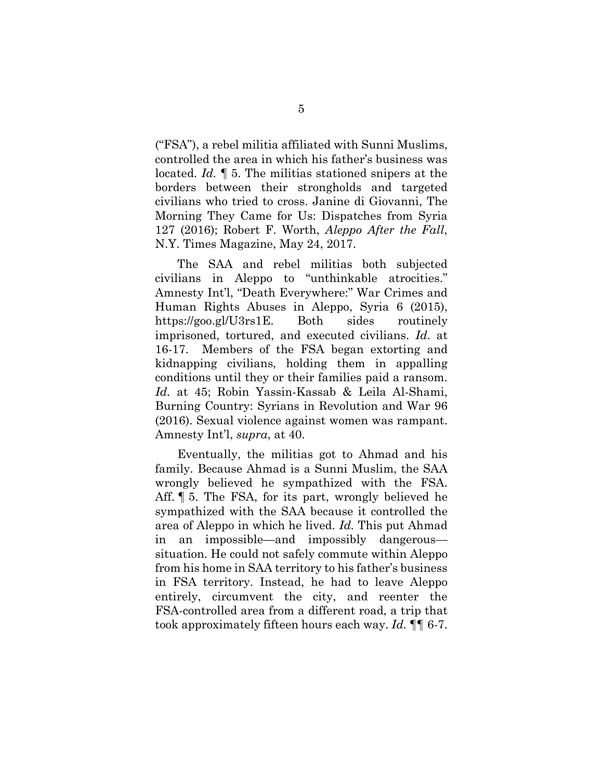("FSA"), a rebel militia affiliated with Sunni Muslims, controlled the area in which his father's business was located. *Id.* ¶ 5. The militias stationed snipers at the borders between their strongholds and targeted civilians who tried to cross. Janine di Giovanni, The Morning They Came for Us: Dispatches from Syria 127 (2016); Robert F. Worth, *Aleppo After the Fall*, N.Y. Times Magazine, May 24, 2017.

The SAA and rebel militias both subjected civilians in Aleppo to "unthinkable atrocities." Amnesty Int'l, "Death Everywhere:" War Crimes and Human Rights Abuses in Aleppo, Syria 6 (2015), https://goo.gl/U3rs1E. Both sides routinely imprisoned, tortured, and executed civilians. *Id.* at 16-17. Members of the FSA began extorting and kidnapping civilians, holding them in appalling conditions until they or their families paid a ransom. *Id.* at 45; Robin Yassin-Kassab & Leila Al-Shami, Burning Country: Syrians in Revolution and War 96 (2016). Sexual violence against women was rampant. Amnesty Int'l, *supra*, at 40.

Eventually, the militias got to Ahmad and his family. Because Ahmad is a Sunni Muslim, the SAA wrongly believed he sympathized with the FSA. Aff. ¶ 5. The FSA, for its part, wrongly believed he sympathized with the SAA because it controlled the area of Aleppo in which he lived. *Id.* This put Ahmad in an impossible—and impossibly dangerous situation. He could not safely commute within Aleppo from his home in SAA territory to his father's business in FSA territory. Instead, he had to leave Aleppo entirely, circumvent the city, and reenter the FSA-controlled area from a different road, a trip that took approximately fifteen hours each way. *Id.* ¶¶ 6-7.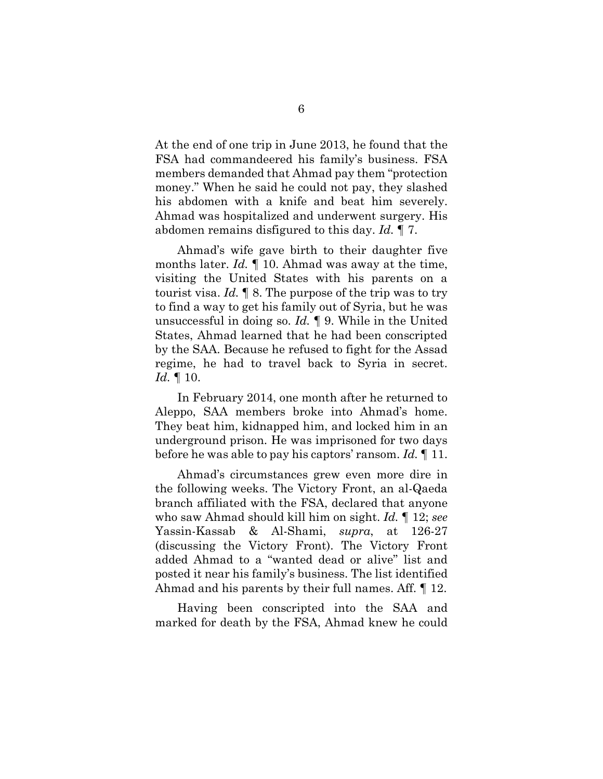At the end of one trip in June 2013, he found that the FSA had commandeered his family's business. FSA members demanded that Ahmad pay them "protection money." When he said he could not pay, they slashed his abdomen with a knife and beat him severely. Ahmad was hospitalized and underwent surgery. His abdomen remains disfigured to this day. *Id.* ¶ 7.

Ahmad's wife gave birth to their daughter five months later. *Id.* ¶ 10. Ahmad was away at the time, visiting the United States with his parents on a tourist visa. *Id.* ¶ 8. The purpose of the trip was to try to find a way to get his family out of Syria, but he was unsuccessful in doing so. *Id.* ¶ 9. While in the United States, Ahmad learned that he had been conscripted by the SAA. Because he refused to fight for the Assad regime, he had to travel back to Syria in secret. *Id.* ¶ 10.

In February 2014, one month after he returned to Aleppo, SAA members broke into Ahmad's home. They beat him, kidnapped him, and locked him in an underground prison. He was imprisoned for two days before he was able to pay his captors' ransom. *Id.* ¶ 11.

Ahmad's circumstances grew even more dire in the following weeks. The Victory Front, an al-Qaeda branch affiliated with the FSA, declared that anyone who saw Ahmad should kill him on sight. *Id.* ¶ 12; *see*  Yassin-Kassab & Al-Shami, *supra*, at 126-27 (discussing the Victory Front). The Victory Front added Ahmad to a "wanted dead or alive" list and posted it near his family's business. The list identified Ahmad and his parents by their full names. Aff. ¶ 12.

Having been conscripted into the SAA and marked for death by the FSA, Ahmad knew he could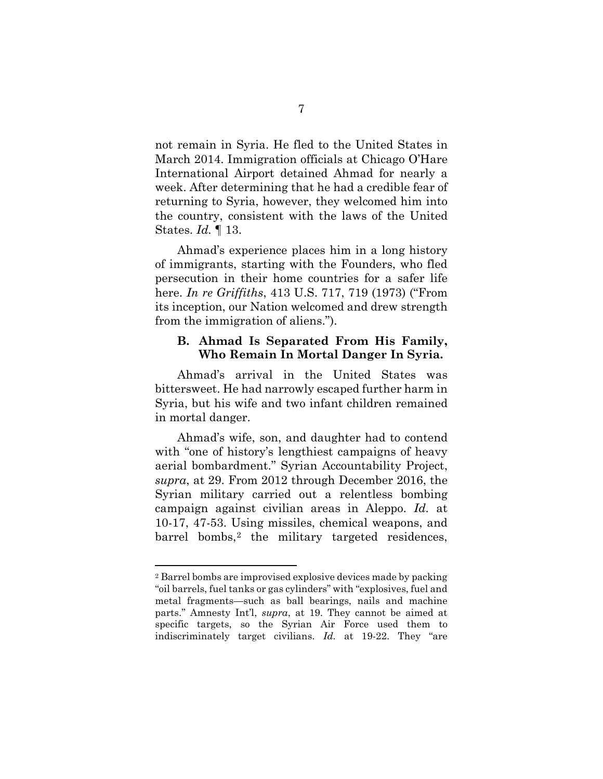not remain in Syria. He fled to the United States in March 2014. Immigration officials at Chicago O'Hare International Airport detained Ahmad for nearly a week. After determining that he had a credible fear of returning to Syria, however, they welcomed him into the country, consistent with the laws of the United States. *Id.* ¶ 13.

Ahmad's experience places him in a long history of immigrants, starting with the Founders, who fled persecution in their home countries for a safer life here. *In re Griffiths*, 413 U.S. 717, 719 (1973) ("From its inception, our Nation welcomed and drew strength from the immigration of aliens.").

### <span id="page-10-0"></span>**B. Ahmad Is Separated From His Family, Who Remain In Mortal Danger In Syria.**

Ahmad's arrival in the United States was bittersweet. He had narrowly escaped further harm in Syria, but his wife and two infant children remained in mortal danger.

Ahmad's wife, son, and daughter had to contend with "one of history's lengthiest campaigns of heavy aerial bombardment." Syrian Accountability Project, *supra*, at 29. From 2012 through December 2016, the Syrian military carried out a relentless bombing campaign against civilian areas in Aleppo. *Id.* at 10-17, 47-53. Using missiles, chemical weapons, and barrel bombs,<sup>[2](#page-10-1)</sup> the military targeted residences,

 $\overline{\phantom{a}}$ 

<span id="page-10-1"></span><sup>2</sup> Barrel bombs are improvised explosive devices made by packing "oil barrels, fuel tanks or gas cylinders" with "explosives, fuel and metal fragments—such as ball bearings, nails and machine parts." Amnesty Int'l, *supra*, at 19. They cannot be aimed at specific targets, so the Syrian Air Force used them to indiscriminately target civilians. *Id.* at 19-22. They "are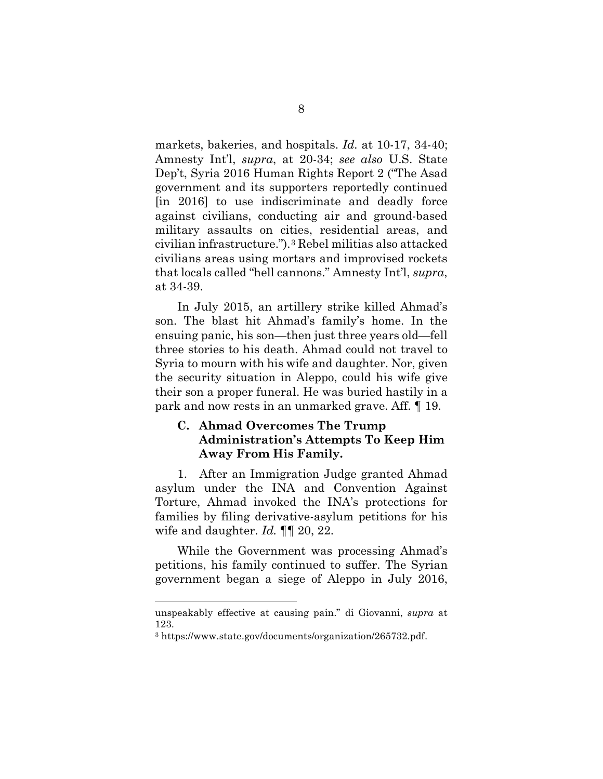markets, bakeries, and hospitals. *Id.* at 10-17, 34-40; Amnesty Int'l, *supra*, at 20-34; *see also* U.S. State Dep't, Syria 2016 Human Rights Report 2 ("The Asad government and its supporters reportedly continued [in 2016] to use indiscriminate and deadly force against civilians, conducting air and ground-based military assaults on cities, residential areas, and civilian infrastructure.").[3](#page-11-1) Rebel militias also attacked civilians areas using mortars and improvised rockets that locals called "hell cannons." Amnesty Int'l, *supra*, at 34-39.

In July 2015, an artillery strike killed Ahmad's son. The blast hit Ahmad's family's home. In the ensuing panic, his son—then just three years old—fell three stories to his death. Ahmad could not travel to Syria to mourn with his wife and daughter. Nor, given the security situation in Aleppo, could his wife give their son a proper funeral. He was buried hastily in a park and now rests in an unmarked grave. Aff. ¶ 19.

## <span id="page-11-0"></span>**C. Ahmad Overcomes The Trump Administration's Attempts To Keep Him Away From His Family.**

1. After an Immigration Judge granted Ahmad asylum under the INA and Convention Against Torture, Ahmad invoked the INA's protections for families by filing derivative-asylum petitions for his wife and daughter. *Id.* ¶¶ 20, 22.

While the Government was processing Ahmad's petitions, his family continued to suffer. The Syrian government began a siege of Aleppo in July 2016,

 $\overline{\phantom{a}}$ 

unspeakably effective at causing pain." di Giovanni, *supra* at 123.

<span id="page-11-1"></span><sup>3</sup> https://www.state.gov/documents/organization/265732.pdf.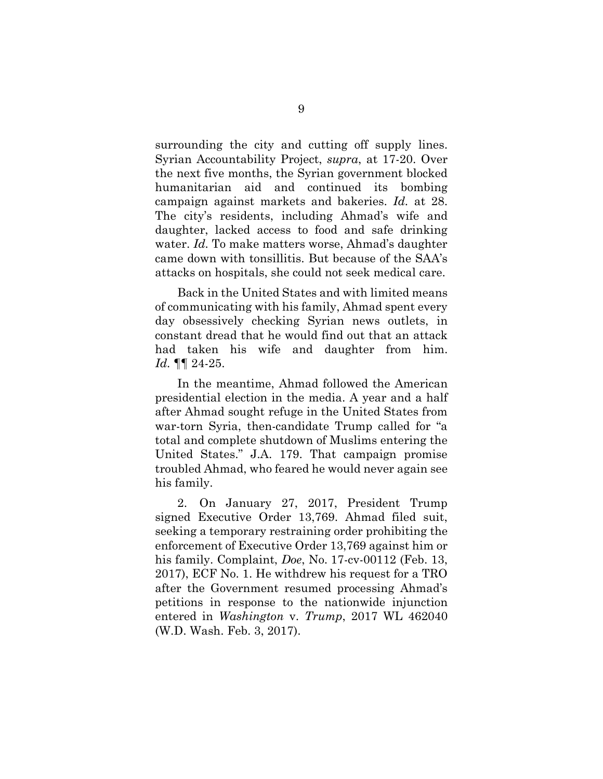surrounding the city and cutting off supply lines. Syrian Accountability Project, *supra*, at 17-20. Over the next five months, the Syrian government blocked humanitarian aid and continued its bombing campaign against markets and bakeries. *Id.* at 28. The city's residents, including Ahmad's wife and daughter, lacked access to food and safe drinking water. *Id.* To make matters worse, Ahmad's daughter came down with tonsillitis. But because of the SAA's attacks on hospitals, she could not seek medical care.

Back in the United States and with limited means of communicating with his family, Ahmad spent every day obsessively checking Syrian news outlets, in constant dread that he would find out that an attack had taken his wife and daughter from him. *Id.* ¶¶ 24-25.

In the meantime, Ahmad followed the American presidential election in the media. A year and a half after Ahmad sought refuge in the United States from war-torn Syria, then-candidate Trump called for "a total and complete shutdown of Muslims entering the United States." J.A. 179. That campaign promise troubled Ahmad, who feared he would never again see his family.

2. On January 27, 2017, President Trump signed Executive Order 13,769. Ahmad filed suit, seeking a temporary restraining order prohibiting the enforcement of Executive Order 13,769 against him or his family. Complaint, *Doe*, No. 17-cv-00112 (Feb. 13, 2017), ECF No. 1. He withdrew his request for a TRO after the Government resumed processing Ahmad's petitions in response to the nationwide injunction entered in *Washington* v. *Trump*, 2017 WL 462040 (W.D. Wash. Feb. 3, 2017).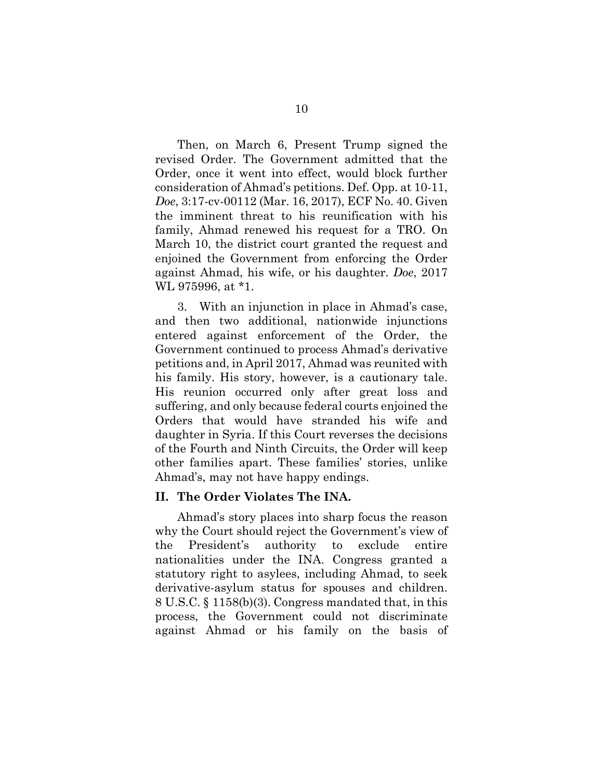Then, on March 6, Present Trump signed the revised Order. The Government admitted that the Order, once it went into effect, would block further consideration of Ahmad's petitions. Def. Opp. at 10-11, *Doe*, 3:17-cv-00112 (Mar. 16, 2017), ECF No. 40. Given the imminent threat to his reunification with his family, Ahmad renewed his request for a TRO. On March 10, the district court granted the request and enjoined the Government from enforcing the Order against Ahmad, his wife, or his daughter. *Doe*, 2017 WL 975996, at \*1.

3. With an injunction in place in Ahmad's case, and then two additional, nationwide injunctions entered against enforcement of the Order, the Government continued to process Ahmad's derivative petitions and, in April 2017, Ahmad was reunited with his family. His story, however, is a cautionary tale. His reunion occurred only after great loss and suffering, and only because federal courts enjoined the Orders that would have stranded his wife and daughter in Syria. If this Court reverses the decisions of the Fourth and Ninth Circuits, the Order will keep other families apart. These families' stories, unlike Ahmad's, may not have happy endings.

#### <span id="page-13-0"></span>**II. The Order Violates The INA.**

Ahmad's story places into sharp focus the reason why the Court should reject the Government's view of the President's authority to exclude entire nationalities under the INA. Congress granted a statutory right to asylees, including Ahmad, to seek derivative-asylum status for spouses and children. 8 U.S.C. § 1158(b)(3). Congress mandated that, in this process, the Government could not discriminate against Ahmad or his family on the basis of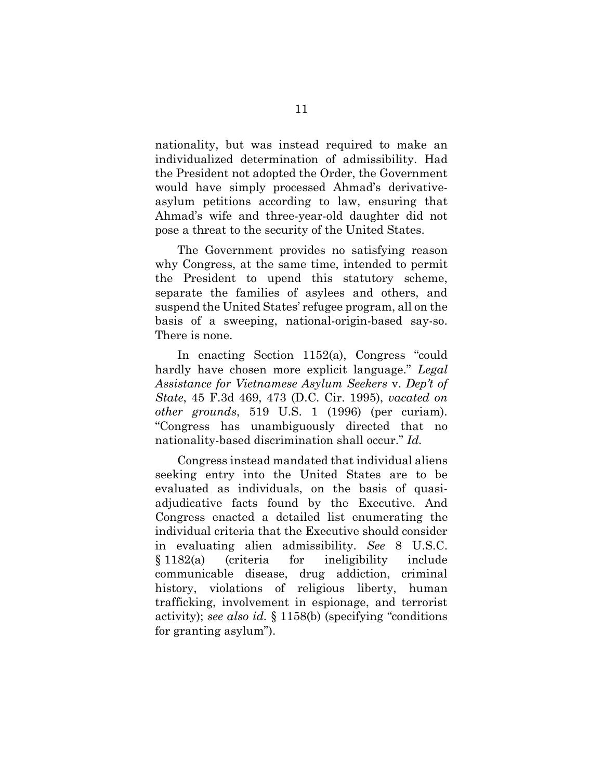nationality, but was instead required to make an individualized determination of admissibility. Had the President not adopted the Order, the Government would have simply processed Ahmad's derivativeasylum petitions according to law, ensuring that Ahmad's wife and three-year-old daughter did not pose a threat to the security of the United States.

The Government provides no satisfying reason why Congress, at the same time, intended to permit the President to upend this statutory scheme, separate the families of asylees and others, and suspend the United States' refugee program, all on the basis of a sweeping, national-origin-based say-so. There is none.

In enacting Section 1152(a), Congress "could hardly have chosen more explicit language." *Legal Assistance for Vietnamese Asylum Seekers* v. *Dep't of State*, 45 F.3d 469, 473 (D.C. Cir. 1995), *vacated on other grounds*, 519 U.S. 1 (1996) (per curiam). "Congress has unambiguously directed that no nationality-based discrimination shall occur." *Id.*

Congress instead mandated that individual aliens seeking entry into the United States are to be evaluated as individuals, on the basis of quasiadjudicative facts found by the Executive. And Congress enacted a detailed list enumerating the individual criteria that the Executive should consider in evaluating alien admissibility. *See* 8 U.S.C. § 1182(a) (criteria for ineligibility include communicable disease, drug addiction, criminal history, violations of religious liberty, human trafficking, involvement in espionage, and terrorist activity); *see also id.* § 1158(b) (specifying "conditions for granting asylum").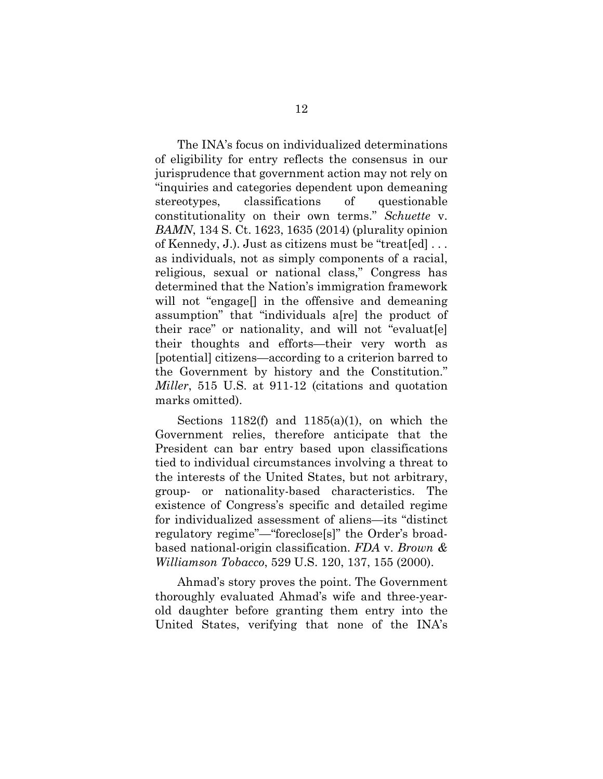The INA's focus on individualized determinations of eligibility for entry reflects the consensus in our jurisprudence that government action may not rely on "inquiries and categories dependent upon demeaning stereotypes, classifications of questionable constitutionality on their own terms." *Schuette* v. *BAMN*, 134 S. Ct. 1623, 1635 (2014) (plurality opinion of Kennedy, J.). Just as citizens must be "treat[ed] . . . as individuals, not as simply components of a racial, religious, sexual or national class," Congress has determined that the Nation's immigration framework will not "engage. in the offensive and demeaning" assumption" that "individuals a[re] the product of their race" or nationality, and will not "evaluat[e] their thoughts and efforts—their very worth as [potential] citizens—according to a criterion barred to the Government by history and the Constitution." *Miller*, 515 U.S. at 911-12 (citations and quotation marks omitted).

Sections  $1182(f)$  and  $1185(a)(1)$ , on which the Government relies, therefore anticipate that the President can bar entry based upon classifications tied to individual circumstances involving a threat to the interests of the United States, but not arbitrary, group- or nationality-based characteristics. The existence of Congress's specific and detailed regime for individualized assessment of aliens—its "distinct regulatory regime"—"foreclose[s]" the Order's broadbased national-origin classification. *FDA* v. *Brown & Williamson Tobacco*, 529 U.S. 120, 137, 155 (2000).

Ahmad's story proves the point. The Government thoroughly evaluated Ahmad's wife and three-yearold daughter before granting them entry into the United States, verifying that none of the INA's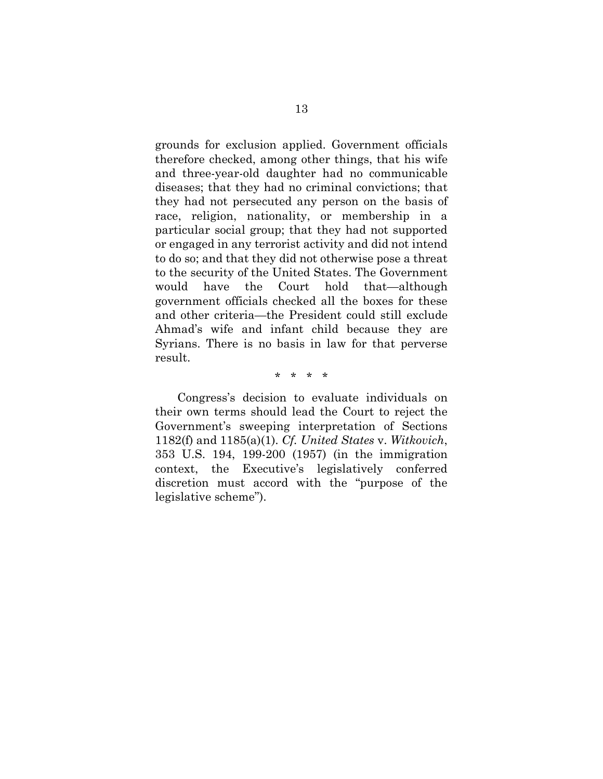grounds for exclusion applied. Government officials therefore checked, among other things, that his wife and three-year-old daughter had no communicable diseases; that they had no criminal convictions; that they had not persecuted any person on the basis of race, religion, nationality, or membership in a particular social group; that they had not supported or engaged in any terrorist activity and did not intend to do so; and that they did not otherwise pose a threat to the security of the United States. The Government would have the Court hold that—although government officials checked all the boxes for these and other criteria—the President could still exclude Ahmad's wife and infant child because they are Syrians. There is no basis in law for that perverse result.

\* \* \* \*

Congress's decision to evaluate individuals on their own terms should lead the Court to reject the Government's sweeping interpretation of Sections 1182(f) and 1185(a)(1). *Cf. United States* v. *Witkovich*, 353 U.S. 194, 199-200 (1957) (in the immigration context, the Executive's legislatively conferred discretion must accord with the "purpose of the legislative scheme").